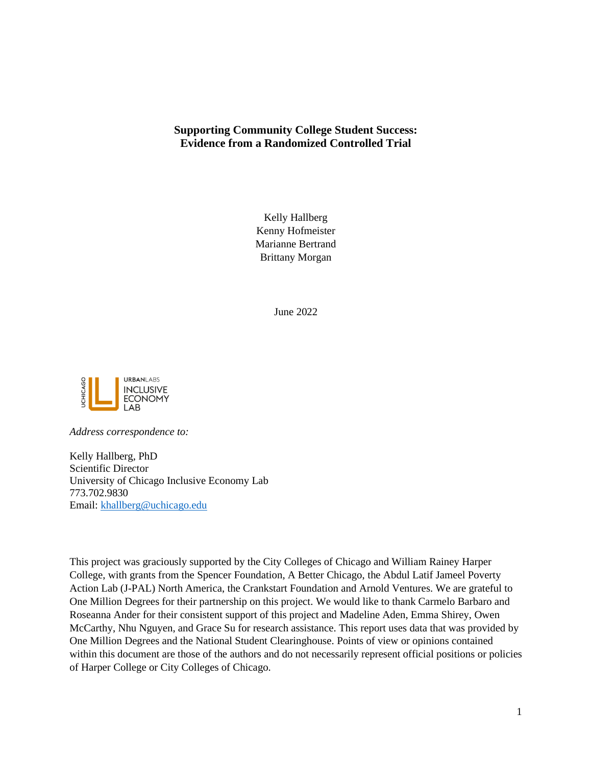# **Supporting Community College Student Success: Evidence from a Randomized Controlled Trial**

Kelly Hallberg Kenny Hofmeister Marianne Bertrand Brittany Morgan

June 2022



*Address correspondence to:*

Kelly Hallberg, PhD Scientific Director University of Chicago Inclusive Economy Lab 773.702.9830 Email: [khallberg@uchicago.edu](mailto:khallberg@uchicago.edu)

This project was graciously supported by the City Colleges of Chicago and William Rainey Harper College, with grants from the Spencer Foundation, A Better Chicago, the Abdul Latif Jameel Poverty Action Lab (J-PAL) North America, the Crankstart Foundation and Arnold Ventures. We are grateful to One Million Degrees for their partnership on this project. We would like to thank Carmelo Barbaro and Roseanna Ander for their consistent support of this project and Madeline Aden, Emma Shirey, Owen McCarthy, Nhu Nguyen, and Grace Su for research assistance. This report uses data that was provided by One Million Degrees and the National Student Clearinghouse. Points of view or opinions contained within this document are those of the authors and do not necessarily represent official positions or policies of Harper College or City Colleges of Chicago.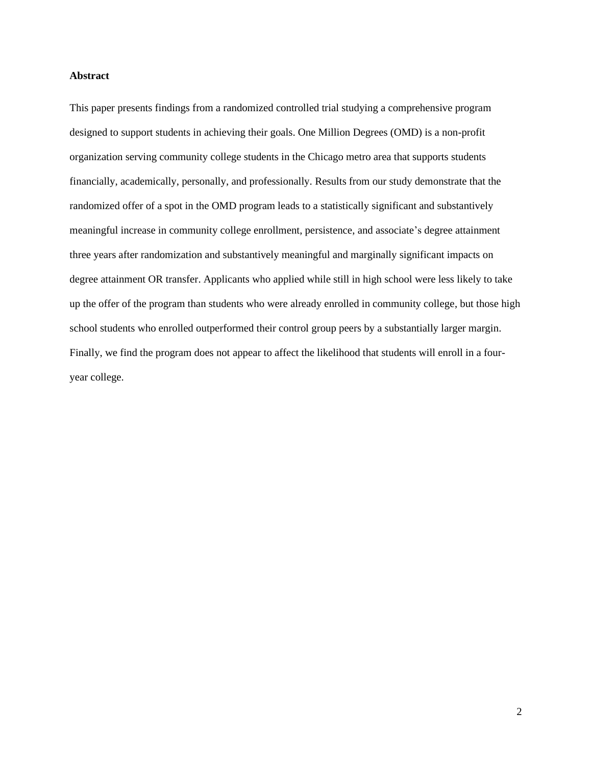#### **Abstract**

This paper presents findings from a randomized controlled trial studying a comprehensive program designed to support students in achieving their goals. One Million Degrees (OMD) is a non-profit organization serving community college students in the Chicago metro area that supports students financially, academically, personally, and professionally. Results from our study demonstrate that the randomized offer of a spot in the OMD program leads to a statistically significant and substantively meaningful increase in community college enrollment, persistence, and associate's degree attainment three years after randomization and substantively meaningful and marginally significant impacts on degree attainment OR transfer. Applicants who applied while still in high school were less likely to take up the offer of the program than students who were already enrolled in community college, but those high school students who enrolled outperformed their control group peers by a substantially larger margin. Finally, we find the program does not appear to affect the likelihood that students will enroll in a fouryear college.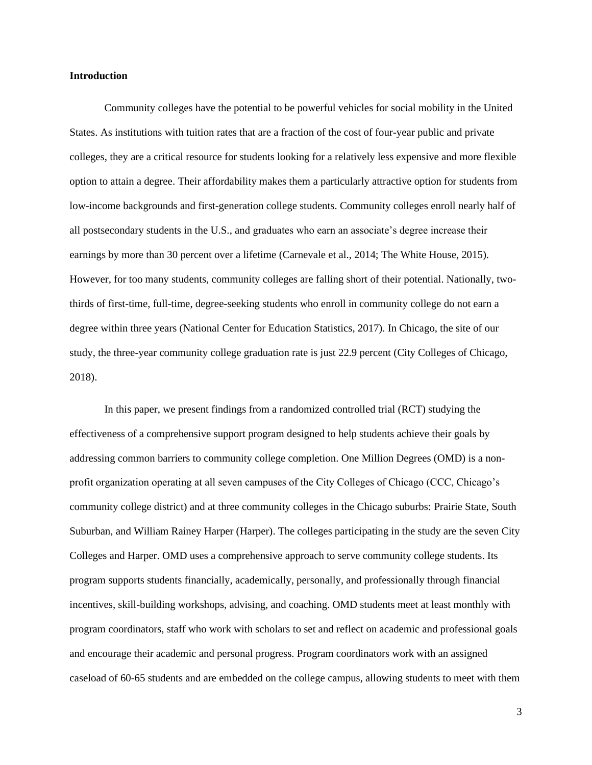#### **Introduction**

Community colleges have the potential to be powerful vehicles for social mobility in the United States. As institutions with tuition rates that are a fraction of the cost of four-year public and private colleges, they are a critical resource for students looking for a relatively less expensive and more flexible option to attain a degree. Their affordability makes them a particularly attractive option for students from low-income backgrounds and first-generation college students. Community colleges enroll nearly half of all postsecondary students in the U.S., and graduates who earn an associate's degree increase their earnings by more than 30 percent over a lifetime (Carnevale et al., 2014; The White House, 2015). However, for too many students, community colleges are falling short of their potential. Nationally, twothirds of first-time, full-time, degree-seeking students who enroll in community college do not earn a degree within three years (National Center for Education Statistics, 2017). In Chicago, the site of our study, the three-year community college graduation rate is just 22.9 percent (City Colleges of Chicago, 2018).

In this paper, we present findings from a randomized controlled trial (RCT) studying the effectiveness of a comprehensive support program designed to help students achieve their goals by addressing common barriers to community college completion. One Million Degrees (OMD) is a nonprofit organization operating at all seven campuses of the City Colleges of Chicago (CCC, Chicago's community college district) and at three community colleges in the Chicago suburbs: Prairie State, South Suburban, and William Rainey Harper (Harper). The colleges participating in the study are the seven City Colleges and Harper. OMD uses a comprehensive approach to serve community college students. Its program supports students financially, academically, personally, and professionally through financial incentives, skill-building workshops, advising, and coaching. OMD students meet at least monthly with program coordinators, staff who work with scholars to set and reflect on academic and professional goals and encourage their academic and personal progress. Program coordinators work with an assigned caseload of 60-65 students and are embedded on the college campus, allowing students to meet with them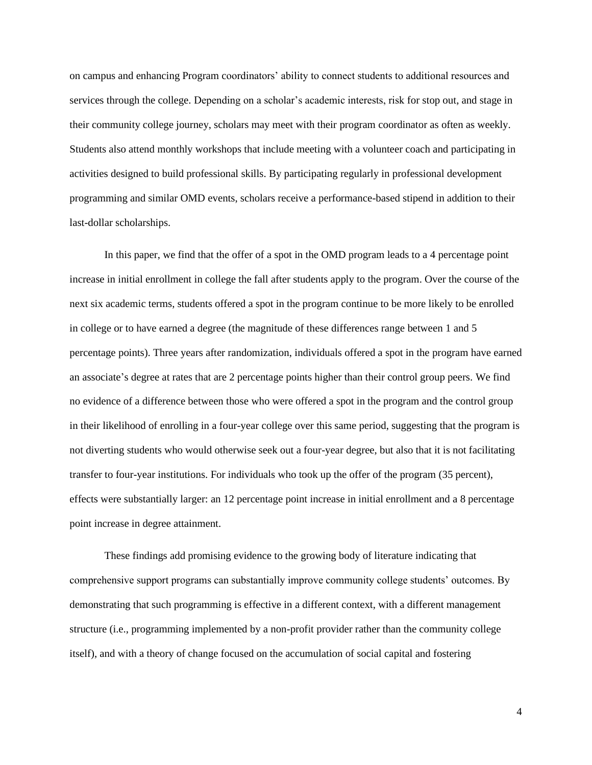on campus and enhancing Program coordinators' ability to connect students to additional resources and services through the college. Depending on a scholar's academic interests, risk for stop out, and stage in their community college journey, scholars may meet with their program coordinator as often as weekly. Students also attend monthly workshops that include meeting with a volunteer coach and participating in activities designed to build professional skills. By participating regularly in professional development programming and similar OMD events, scholars receive a performance-based stipend in addition to their last-dollar scholarships.

In this paper, we find that the offer of a spot in the OMD program leads to a 4 percentage point increase in initial enrollment in college the fall after students apply to the program. Over the course of the next six academic terms, students offered a spot in the program continue to be more likely to be enrolled in college or to have earned a degree (the magnitude of these differences range between 1 and 5 percentage points). Three years after randomization, individuals offered a spot in the program have earned an associate's degree at rates that are 2 percentage points higher than their control group peers. We find no evidence of a difference between those who were offered a spot in the program and the control group in their likelihood of enrolling in a four-year college over this same period, suggesting that the program is not diverting students who would otherwise seek out a four-year degree, but also that it is not facilitating transfer to four-year institutions. For individuals who took up the offer of the program (35 percent), effects were substantially larger: an 12 percentage point increase in initial enrollment and a 8 percentage point increase in degree attainment.

These findings add promising evidence to the growing body of literature indicating that comprehensive support programs can substantially improve community college students' outcomes. By demonstrating that such programming is effective in a different context, with a different management structure (i.e., programming implemented by a non-profit provider rather than the community college itself), and with a theory of change focused on the accumulation of social capital and fostering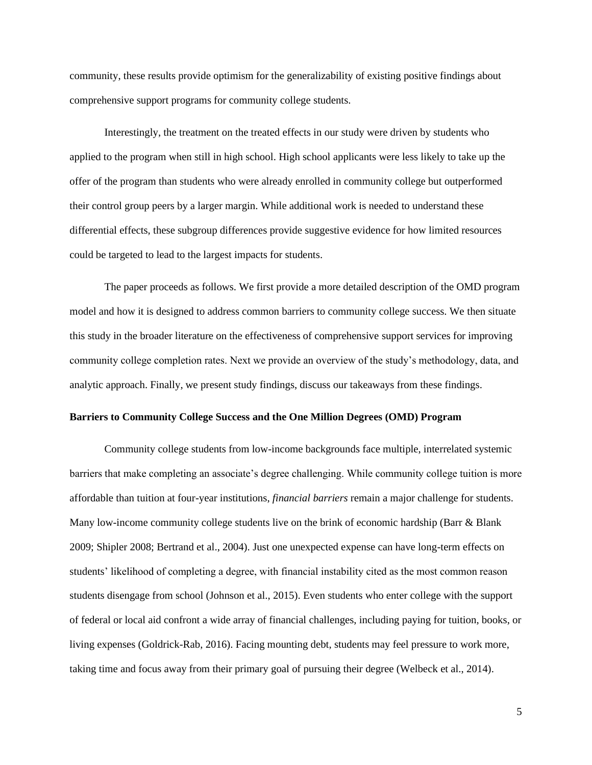community, these results provide optimism for the generalizability of existing positive findings about comprehensive support programs for community college students.

Interestingly, the treatment on the treated effects in our study were driven by students who applied to the program when still in high school. High school applicants were less likely to take up the offer of the program than students who were already enrolled in community college but outperformed their control group peers by a larger margin. While additional work is needed to understand these differential effects, these subgroup differences provide suggestive evidence for how limited resources could be targeted to lead to the largest impacts for students.

The paper proceeds as follows. We first provide a more detailed description of the OMD program model and how it is designed to address common barriers to community college success. We then situate this study in the broader literature on the effectiveness of comprehensive support services for improving community college completion rates. Next we provide an overview of the study's methodology, data, and analytic approach. Finally, we present study findings, discuss our takeaways from these findings.

## **Barriers to Community College Success and the One Million Degrees (OMD) Program**

Community college students from low-income backgrounds face multiple, interrelated systemic barriers that make completing an associate's degree challenging. While community college tuition is more affordable than tuition at four-year institutions, *financial barriers* remain a major challenge for students. Many low-income community college students live on the brink of economic hardship (Barr & Blank 2009; Shipler 2008; Bertrand et al., 2004). Just one unexpected expense can have long-term effects on students' likelihood of completing a degree, with financial instability cited as the most common reason students disengage from school (Johnson et al., 2015). Even students who enter college with the support of federal or local aid confront a wide array of financial challenges, including paying for tuition, books, or living expenses (Goldrick-Rab, 2016). Facing mounting debt, students may feel pressure to work more, taking time and focus away from their primary goal of pursuing their degree (Welbeck et al., 2014).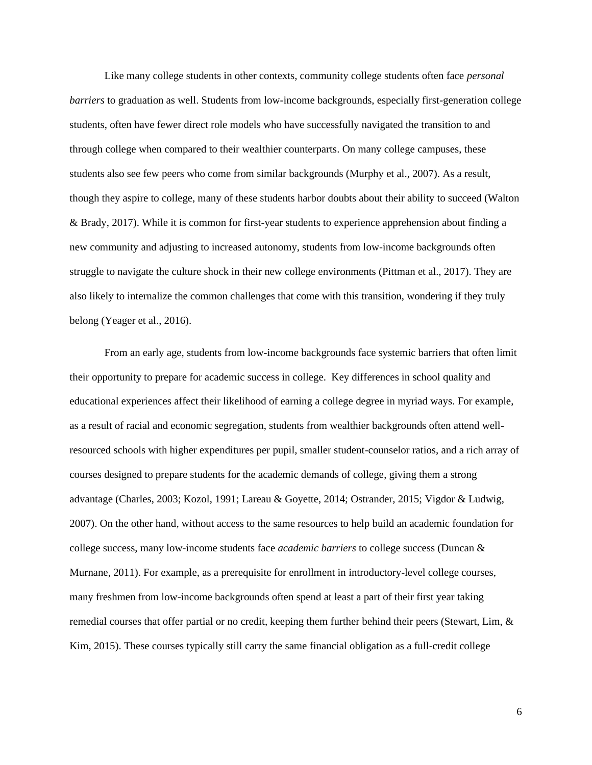Like many college students in other contexts, community college students often face *personal barriers* to graduation as well. Students from low-income backgrounds, especially first-generation college students, often have fewer direct role models who have successfully navigated the transition to and through college when compared to their wealthier counterparts. On many college campuses, these students also see few peers who come from similar backgrounds (Murphy et al., 2007). As a result, though they aspire to college, many of these students harbor doubts about their ability to succeed (Walton & Brady, 2017). While it is common for first-year students to experience apprehension about finding a new community and adjusting to increased autonomy, students from low-income backgrounds often struggle to navigate the culture shock in their new college environments (Pittman et al., 2017). They are also likely to internalize the common challenges that come with this transition, wondering if they truly belong (Yeager et al., 2016).

From an early age, students from low-income backgrounds face systemic barriers that often limit their opportunity to prepare for academic success in college. Key differences in school quality and educational experiences affect their likelihood of earning a college degree in myriad ways. For example, as a result of racial and economic segregation, students from wealthier backgrounds often attend wellresourced schools with higher expenditures per pupil, smaller student-counselor ratios, and a rich array of courses designed to prepare students for the academic demands of college, giving them a strong advantage (Charles, 2003; Kozol, 1991; Lareau & Goyette, 2014; Ostrander, 2015; Vigdor & Ludwig, 2007). On the other hand, without access to the same resources to help build an academic foundation for college success, many low-income students face *academic barriers* to college success (Duncan & Murnane, 2011). For example, as a prerequisite for enrollment in introductory-level college courses, many freshmen from low-income backgrounds often spend at least a part of their first year taking remedial courses that offer partial or no credit, keeping them further behind their peers (Stewart, Lim, & Kim, 2015). These courses typically still carry the same financial obligation as a full-credit college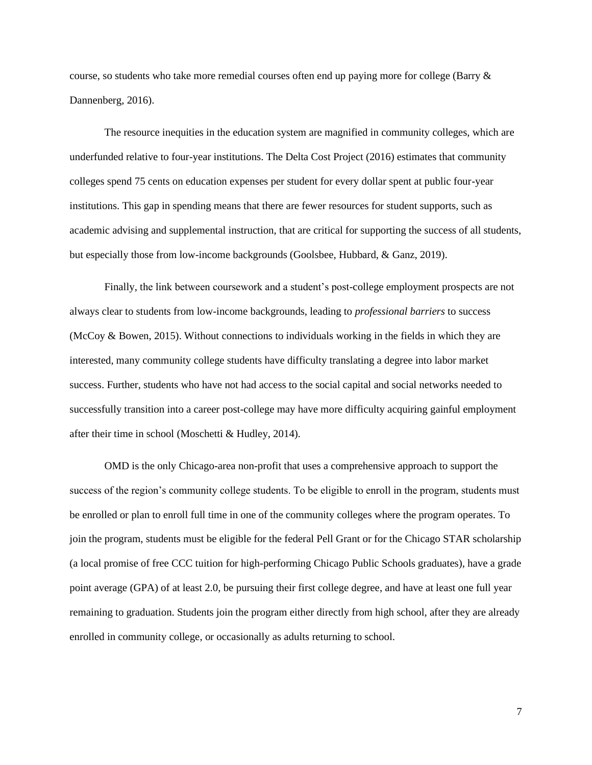course, so students who take more remedial courses often end up paying more for college (Barry & Dannenberg, 2016).

The resource inequities in the education system are magnified in community colleges, which are underfunded relative to four-year institutions. The Delta Cost Project (2016) estimates that community colleges spend 75 cents on education expenses per student for every dollar spent at public four-year institutions. This gap in spending means that there are fewer resources for student supports, such as academic advising and supplemental instruction, that are critical for supporting the success of all students, but especially those from low-income backgrounds (Goolsbee, Hubbard, & Ganz, 2019).

Finally, the link between coursework and a student's post-college employment prospects are not always clear to students from low-income backgrounds, leading to *professional barriers* to success (McCoy & Bowen, 2015). Without connections to individuals working in the fields in which they are interested, many community college students have difficulty translating a degree into labor market success. Further, students who have not had access to the social capital and social networks needed to successfully transition into a career post-college may have more difficulty acquiring gainful employment after their time in school (Moschetti & Hudley, 2014).

OMD is the only Chicago-area non-profit that uses a comprehensive approach to support the success of the region's community college students. To be eligible to enroll in the program, students must be enrolled or plan to enroll full time in one of the community colleges where the program operates. To join the program, students must be eligible for the federal Pell Grant or for the Chicago STAR scholarship (a local promise of free CCC tuition for high-performing Chicago Public Schools graduates), have a grade point average (GPA) of at least 2.0, be pursuing their first college degree, and have at least one full year remaining to graduation. Students join the program either directly from high school, after they are already enrolled in community college, or occasionally as adults returning to school.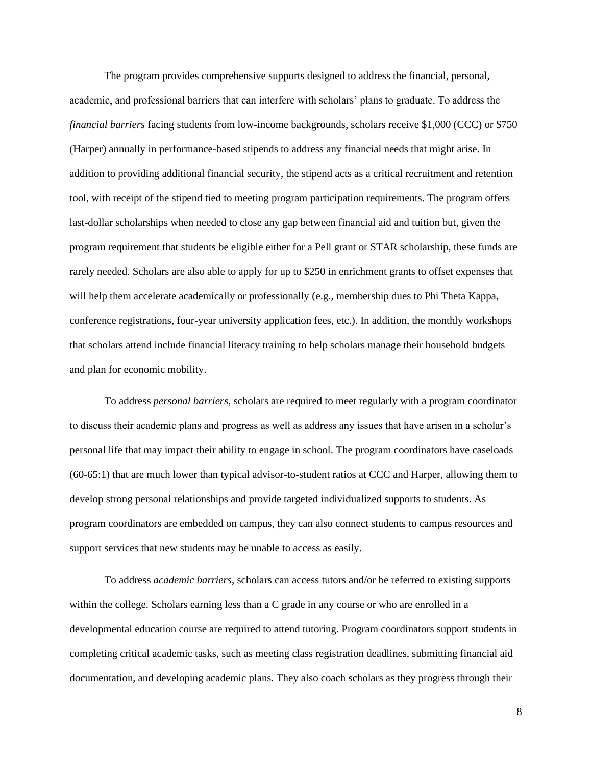The program provides comprehensive supports designed to address the financial, personal, academic, and professional barriers that can interfere with scholars' plans to graduate. To address the *financial barriers* facing students from low-income backgrounds, scholars receive \$1,000 (CCC) or \$750 (Harper) annually in performance-based stipends to address any financial needs that might arise. In addition to providing additional financial security, the stipend acts as a critical recruitment and retention tool, with receipt of the stipend tied to meeting program participation requirements. The program offers last-dollar scholarships when needed to close any gap between financial aid and tuition but, given the program requirement that students be eligible either for a Pell grant or STAR scholarship, these funds are rarely needed. Scholars are also able to apply for up to \$250 in enrichment grants to offset expenses that will help them accelerate academically or professionally (e.g., membership dues to Phi Theta Kappa, conference registrations, four-year university application fees, etc.). In addition, the monthly workshops that scholars attend include financial literacy training to help scholars manage their household budgets and plan for economic mobility.

To address *personal barriers*, scholars are required to meet regularly with a program coordinator to discuss their academic plans and progress as well as address any issues that have arisen in a scholar's personal life that may impact their ability to engage in school. The program coordinators have caseloads (60-65:1) that are much lower than typical advisor-to-student ratios at CCC and Harper, allowing them to develop strong personal relationships and provide targeted individualized supports to students. As program coordinators are embedded on campus, they can also connect students to campus resources and support services that new students may be unable to access as easily.

To address *academic barriers*, scholars can access tutors and/or be referred to existing supports within the college. Scholars earning less than a C grade in any course or who are enrolled in a developmental education course are required to attend tutoring. Program coordinators support students in completing critical academic tasks, such as meeting class registration deadlines, submitting financial aid documentation, and developing academic plans. They also coach scholars as they progress through their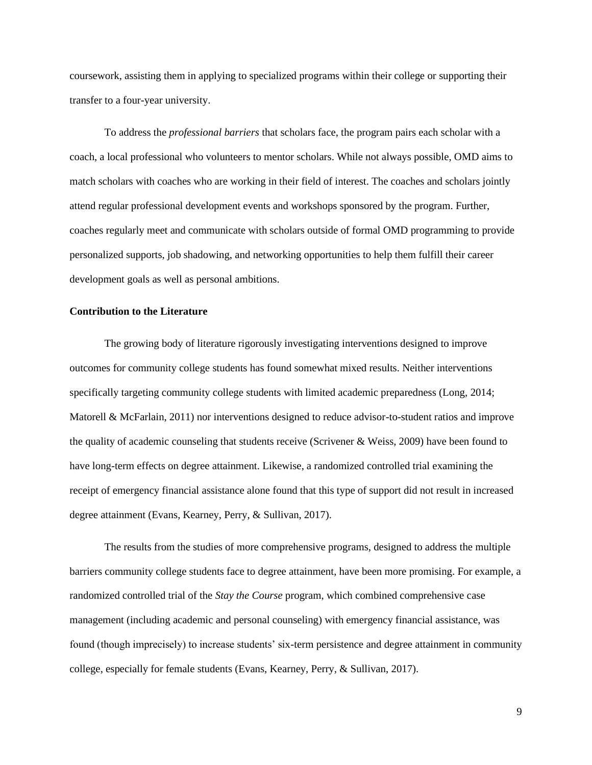coursework, assisting them in applying to specialized programs within their college or supporting their transfer to a four-year university.

To address the *professional barriers* that scholars face, the program pairs each scholar with a coach, a local professional who volunteers to mentor scholars. While not always possible, OMD aims to match scholars with coaches who are working in their field of interest. The coaches and scholars jointly attend regular professional development events and workshops sponsored by the program. Further, coaches regularly meet and communicate with scholars outside of formal OMD programming to provide personalized supports, job shadowing, and networking opportunities to help them fulfill their career development goals as well as personal ambitions.

#### **Contribution to the Literature**

The growing body of literature rigorously investigating interventions designed to improve outcomes for community college students has found somewhat mixed results. Neither interventions specifically targeting community college students with limited academic preparedness (Long, 2014; Matorell & McFarlain, 2011) nor interventions designed to reduce advisor-to-student ratios and improve the quality of academic counseling that students receive (Scrivener & Weiss, 2009) have been found to have long-term effects on degree attainment. Likewise, a randomized controlled trial examining the receipt of emergency financial assistance alone found that this type of support did not result in increased degree attainment (Evans, Kearney, Perry, & Sullivan, 2017).

The results from the studies of more comprehensive programs, designed to address the multiple barriers community college students face to degree attainment, have been more promising. For example, a randomized controlled trial of the *Stay the Course* program, which combined comprehensive case management (including academic and personal counseling) with emergency financial assistance, was found (though imprecisely) to increase students' six-term persistence and degree attainment in community college, especially for female students (Evans, Kearney, Perry, & Sullivan, 2017).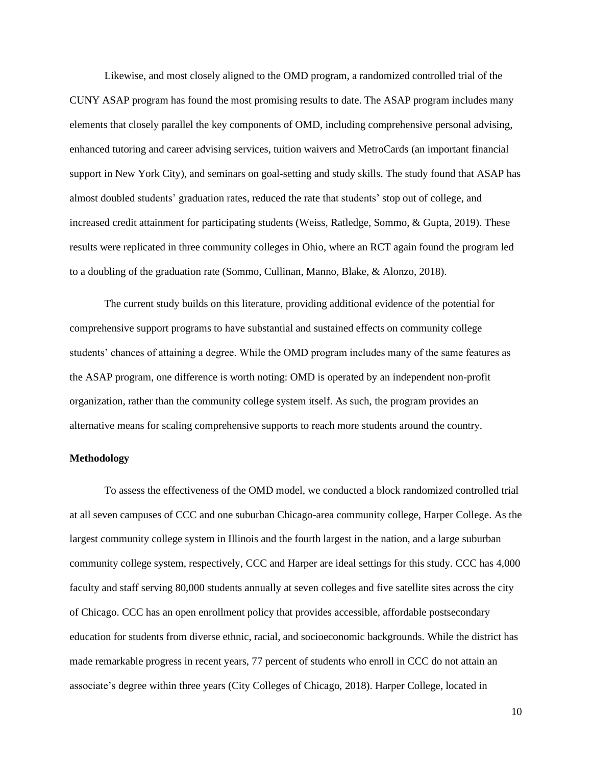Likewise, and most closely aligned to the OMD program, a randomized controlled trial of the CUNY ASAP program has found the most promising results to date. The ASAP program includes many elements that closely parallel the key components of OMD, including comprehensive personal advising, enhanced tutoring and career advising services, tuition waivers and MetroCards (an important financial support in New York City), and seminars on goal-setting and study skills. The study found that ASAP has almost doubled students' graduation rates, reduced the rate that students' stop out of college, and increased credit attainment for participating students (Weiss, Ratledge, Sommo, & Gupta, 2019). These results were replicated in three community colleges in Ohio, where an RCT again found the program led to a doubling of the graduation rate (Sommo, Cullinan, Manno, Blake, & Alonzo, 2018).

The current study builds on this literature, providing additional evidence of the potential for comprehensive support programs to have substantial and sustained effects on community college students' chances of attaining a degree. While the OMD program includes many of the same features as the ASAP program, one difference is worth noting: OMD is operated by an independent non-profit organization, rather than the community college system itself. As such, the program provides an alternative means for scaling comprehensive supports to reach more students around the country.

### **Methodology**

To assess the effectiveness of the OMD model, we conducted a block randomized controlled trial at all seven campuses of CCC and one suburban Chicago-area community college, Harper College. As the largest community college system in Illinois and the fourth largest in the nation, and a large suburban community college system, respectively, CCC and Harper are ideal settings for this study. CCC has 4,000 faculty and staff serving 80,000 students annually at seven colleges and five satellite sites across the city of Chicago. CCC has an open enrollment policy that provides accessible, affordable postsecondary education for students from diverse ethnic, racial, and socioeconomic backgrounds. While the district has made remarkable progress in recent years, 77 percent of students who enroll in CCC do not attain an associate's degree within three years (City Colleges of Chicago, 2018). Harper College, located in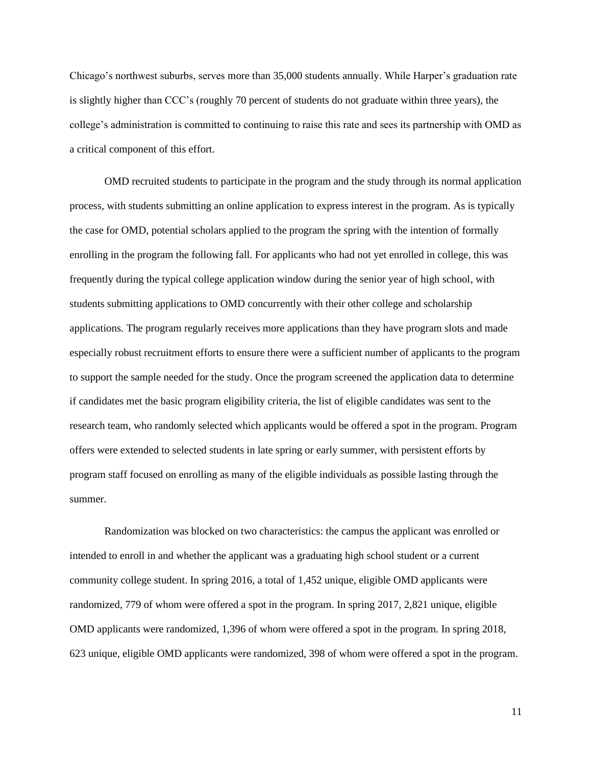Chicago's northwest suburbs, serves more than 35,000 students annually. While Harper's graduation rate is slightly higher than CCC's (roughly 70 percent of students do not graduate within three years), the college's administration is committed to continuing to raise this rate and sees its partnership with OMD as a critical component of this effort.

OMD recruited students to participate in the program and the study through its normal application process, with students submitting an online application to express interest in the program. As is typically the case for OMD, potential scholars applied to the program the spring with the intention of formally enrolling in the program the following fall. For applicants who had not yet enrolled in college, this was frequently during the typical college application window during the senior year of high school, with students submitting applications to OMD concurrently with their other college and scholarship applications. The program regularly receives more applications than they have program slots and made especially robust recruitment efforts to ensure there were a sufficient number of applicants to the program to support the sample needed for the study. Once the program screened the application data to determine if candidates met the basic program eligibility criteria, the list of eligible candidates was sent to the research team, who randomly selected which applicants would be offered a spot in the program. Program offers were extended to selected students in late spring or early summer, with persistent efforts by program staff focused on enrolling as many of the eligible individuals as possible lasting through the summer.

Randomization was blocked on two characteristics: the campus the applicant was enrolled or intended to enroll in and whether the applicant was a graduating high school student or a current community college student. In spring 2016, a total of 1,452 unique, eligible OMD applicants were randomized, 779 of whom were offered a spot in the program. In spring 2017, 2,821 unique, eligible OMD applicants were randomized, 1,396 of whom were offered a spot in the program. In spring 2018, 623 unique, eligible OMD applicants were randomized, 398 of whom were offered a spot in the program.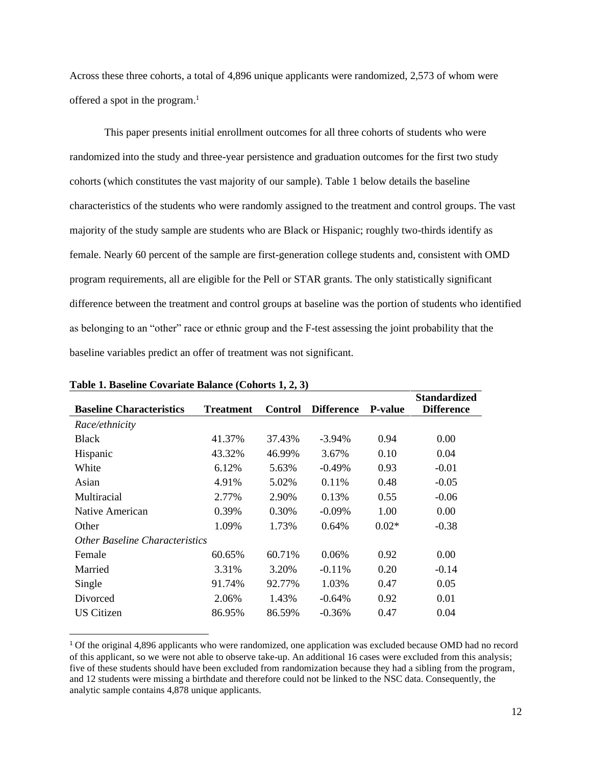Across these three cohorts, a total of 4,896 unique applicants were randomized, 2,573 of whom were offered a spot in the program.<sup>1</sup>

This paper presents initial enrollment outcomes for all three cohorts of students who were randomized into the study and three-year persistence and graduation outcomes for the first two study cohorts (which constitutes the vast majority of our sample). Table 1 below details the baseline characteristics of the students who were randomly assigned to the treatment and control groups. The vast majority of the study sample are students who are Black or Hispanic; roughly two-thirds identify as female. Nearly 60 percent of the sample are first-generation college students and, consistent with OMD program requirements, all are eligible for the Pell or STAR grants. The only statistically significant difference between the treatment and control groups at baseline was the portion of students who identified as belonging to an "other" race or ethnic group and the F-test assessing the joint probability that the baseline variables predict an offer of treatment was not significant.

| <b>Baseline Characteristics</b> | <b>Treatment</b> | <b>Control</b> | <b>Difference</b> | <b>P-value</b> | <b>Standardized</b><br><b>Difference</b> |
|---------------------------------|------------------|----------------|-------------------|----------------|------------------------------------------|
| <i>Race/ethnicity</i>           |                  |                |                   |                |                                          |
| <b>Black</b>                    | 41.37%           | 37.43%         | $-3.94\%$         | 0.94           | 0.00                                     |
| Hispanic                        | 43.32%           | 46.99%         | 3.67%             | 0.10           | 0.04                                     |
| White                           | 6.12%            | 5.63%          | $-0.49%$          | 0.93           | $-0.01$                                  |
| Asian                           | 4.91%            | 5.02%          | 0.11%             | 0.48           | $-0.05$                                  |
| Multiracial                     | 2.77%            | 2.90%          | 0.13%             | 0.55           | $-0.06$                                  |
| Native American                 | 0.39%            | 0.30%          | $-0.09%$          | 1.00           | 0.00                                     |
| Other                           | 1.09%            | 1.73%          | 0.64%             | $0.02*$        | $-0.38$                                  |
| Other Baseline Characteristics  |                  |                |                   |                |                                          |
| Female                          | 60.65%           | 60.71%         | 0.06%             | 0.92           | 0.00                                     |
| Married                         | 3.31%            | 3.20%          | $-0.11\%$         | 0.20           | $-0.14$                                  |
| Single                          | 91.74%           | 92.77%         | 1.03%             | 0.47           | 0.05                                     |
| Divorced                        | 2.06%            | 1.43%          | $-0.64%$          | 0.92           | 0.01                                     |
| US Citizen                      | 86.95%           | 86.59%         | $-0.36%$          | 0.47           | 0.04                                     |

**Table 1. Baseline Covariate Balance (Cohorts 1, 2, 3)**

<sup>1</sup> Of the original 4,896 applicants who were randomized, one application was excluded because OMD had no record of this applicant, so we were not able to observe take-up. An additional 16 cases were excluded from this analysis; five of these students should have been excluded from randomization because they had a sibling from the program, and 12 students were missing a birthdate and therefore could not be linked to the NSC data. Consequently, the analytic sample contains 4,878 unique applicants.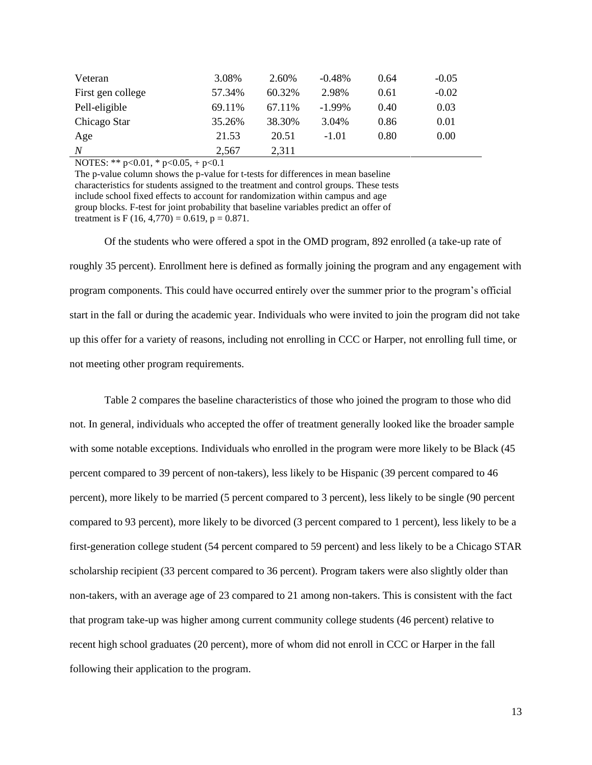| Veteran           | 3.08%  | 2.60%   | $-0.48%$  | 0.64 | $-0.05$ |
|-------------------|--------|---------|-----------|------|---------|
| First gen college | 57.34% | 60.32%  | 2.98%     | 0.61 | $-0.02$ |
| Pell-eligible     | 69.11% | 67.11\% | $-1.99\%$ | 0.40 | 0.03    |
| Chicago Star      | 35.26% | 38.30%  | 3.04%     | 0.86 | 0.01    |
| Age               | 21.53  | 20.51   | $-1.01$   | 0.80 | 0.00    |
| $\boldsymbol{N}$  | 2.567  | 2.311   |           |      |         |

NOTES: \*\* p<0.01, \* p<0.05, + p<0.1

The p-value column shows the p-value for t-tests for differences in mean baseline characteristics for students assigned to the treatment and control groups. These tests include school fixed effects to account for randomization within campus and age group blocks. F-test for joint probability that baseline variables predict an offer of treatment is F (16, 4,770) = 0.619, p = 0.871.

Of the students who were offered a spot in the OMD program, 892 enrolled (a take-up rate of roughly 35 percent). Enrollment here is defined as formally joining the program and any engagement with program components. This could have occurred entirely over the summer prior to the program's official start in the fall or during the academic year. Individuals who were invited to join the program did not take up this offer for a variety of reasons, including not enrolling in CCC or Harper, not enrolling full time, or not meeting other program requirements.

Table 2 compares the baseline characteristics of those who joined the program to those who did not. In general, individuals who accepted the offer of treatment generally looked like the broader sample with some notable exceptions. Individuals who enrolled in the program were more likely to be Black (45 percent compared to 39 percent of non-takers), less likely to be Hispanic (39 percent compared to 46 percent), more likely to be married (5 percent compared to 3 percent), less likely to be single (90 percent compared to 93 percent), more likely to be divorced (3 percent compared to 1 percent), less likely to be a first-generation college student (54 percent compared to 59 percent) and less likely to be a Chicago STAR scholarship recipient (33 percent compared to 36 percent). Program takers were also slightly older than non-takers, with an average age of 23 compared to 21 among non-takers. This is consistent with the fact that program take-up was higher among current community college students (46 percent) relative to recent high school graduates (20 percent), more of whom did not enroll in CCC or Harper in the fall following their application to the program.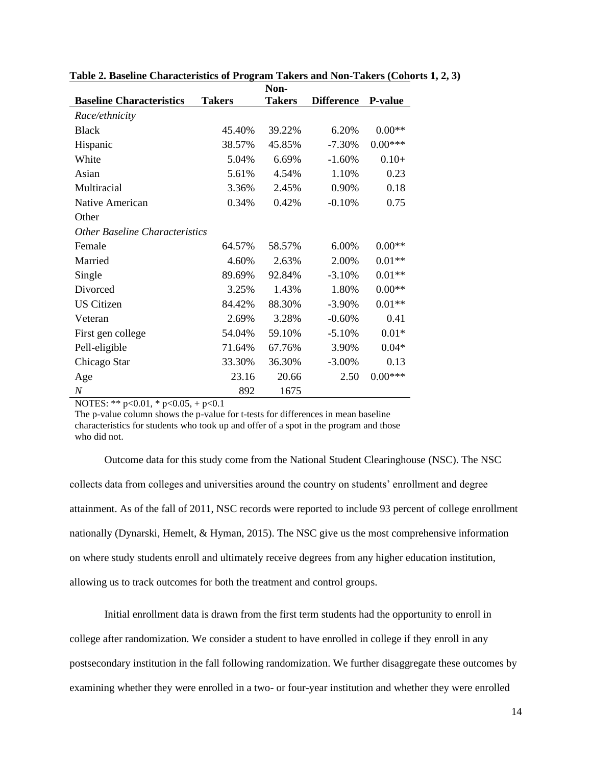|                                 |               | Non-          |                   |                |
|---------------------------------|---------------|---------------|-------------------|----------------|
| <b>Baseline Characteristics</b> | <b>Takers</b> | <b>Takers</b> | <b>Difference</b> | <b>P-value</b> |
| Race/ethnicity                  |               |               |                   |                |
| <b>Black</b>                    | 45.40%        | 39.22%        | 6.20%             | $0.00**$       |
| Hispanic                        | 38.57%        | 45.85%        | $-7.30%$          | $0.00***$      |
| White                           | 5.04%         | 6.69%         | $-1.60%$          | $0.10+$        |
| Asian                           | 5.61%         | 4.54%         | 1.10%             | 0.23           |
| Multiracial                     | 3.36%         | 2.45%         | 0.90%             | 0.18           |
| Native American                 | 0.34%         | 0.42%         | $-0.10%$          | 0.75           |
| Other                           |               |               |                   |                |
| Other Baseline Characteristics  |               |               |                   |                |
| Female                          | 64.57%        | 58.57%        | 6.00%             | $0.00**$       |
| Married                         | 4.60%         | 2.63%         | 2.00%             | $0.01**$       |
| Single                          | 89.69%        | 92.84%        | $-3.10%$          | $0.01**$       |
| Divorced                        | 3.25%         | 1.43%         | 1.80%             | $0.00**$       |
| <b>US</b> Citizen               | 84.42%        | 88.30%        | $-3.90%$          | $0.01**$       |
| Veteran                         | 2.69%         | 3.28%         | $-0.60%$          | 0.41           |
| First gen college               | 54.04%        | 59.10%        | $-5.10%$          | $0.01*$        |
| Pell-eligible                   | 71.64%        | 67.76%        | 3.90%             | $0.04*$        |
| Chicago Star                    | 33.30%        | 36.30%        | $-3.00\%$         | 0.13           |
| Age                             | 23.16         | 20.66         | 2.50              | $0.00***$      |
| $\boldsymbol{N}$                | 892           | 1675          |                   |                |

**Table 2. Baseline Characteristics of Program Takers and Non-Takers (Cohorts 1, 2, 3)**

NOTES: \*\* p<0.01, \* p<0.05, + p<0.1

The p-value column shows the p-value for t-tests for differences in mean baseline characteristics for students who took up and offer of a spot in the program and those who did not.

Outcome data for this study come from the National Student Clearinghouse (NSC). The NSC collects data from colleges and universities around the country on students' enrollment and degree attainment. As of the fall of 2011, NSC records were reported to include 93 percent of college enrollment nationally (Dynarski, Hemelt, & Hyman, 2015). The NSC give us the most comprehensive information on where study students enroll and ultimately receive degrees from any higher education institution, allowing us to track outcomes for both the treatment and control groups.

Initial enrollment data is drawn from the first term students had the opportunity to enroll in college after randomization. We consider a student to have enrolled in college if they enroll in any postsecondary institution in the fall following randomization. We further disaggregate these outcomes by examining whether they were enrolled in a two- or four-year institution and whether they were enrolled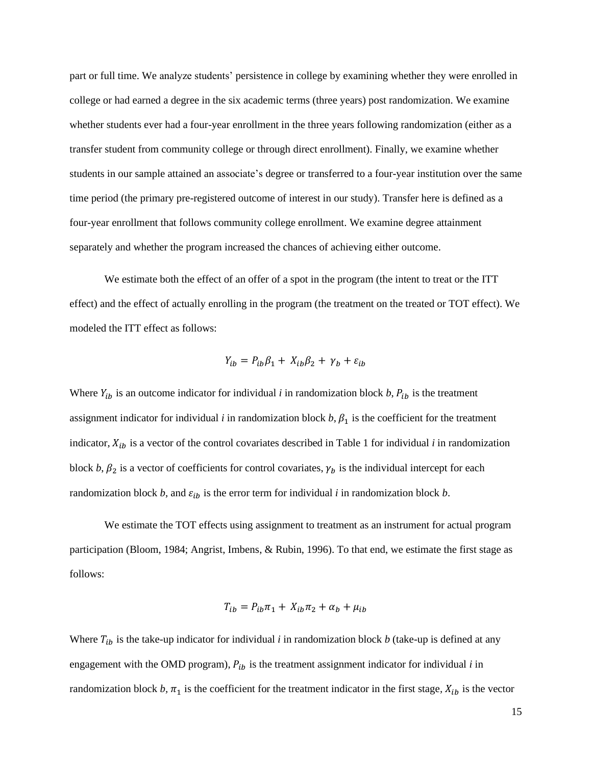part or full time. We analyze students' persistence in college by examining whether they were enrolled in college or had earned a degree in the six academic terms (three years) post randomization. We examine whether students ever had a four-year enrollment in the three years following randomization (either as a transfer student from community college or through direct enrollment). Finally, we examine whether students in our sample attained an associate's degree or transferred to a four-year institution over the same time period (the primary pre-registered outcome of interest in our study). Transfer here is defined as a four-year enrollment that follows community college enrollment. We examine degree attainment separately and whether the program increased the chances of achieving either outcome.

We estimate both the effect of an offer of a spot in the program (the intent to treat or the ITT effect) and the effect of actually enrolling in the program (the treatment on the treated or TOT effect). We modeled the ITT effect as follows:

$$
Y_{ib} = P_{ib}\beta_1 + X_{ib}\beta_2 + \gamma_b + \varepsilon_{ib}
$$

Where  $Y_{ib}$  is an outcome indicator for individual *i* in randomization block *b*,  $P_{ib}$  is the treatment assignment indicator for individual *i* in randomization block  $b$ ,  $\beta_1$  is the coefficient for the treatment indicator,  $X_{ib}$  is a vector of the control covariates described in Table 1 for individual *i* in randomization block  $b, \beta_2$  is a vector of coefficients for control covariates,  $\gamma_b$  is the individual intercept for each randomization block *b*, and  $\varepsilon_{ib}$  is the error term for individual *i* in randomization block *b*.

We estimate the TOT effects using assignment to treatment as an instrument for actual program participation (Bloom, 1984; Angrist, Imbens, & Rubin, 1996). To that end, we estimate the first stage as follows:

$$
T_{ib} = P_{ib}\pi_1 + X_{ib}\pi_2 + \alpha_b + \mu_{ib}
$$

Where  $T_{ib}$  is the take-up indicator for individual *i* in randomization block *b* (take-up is defined at any engagement with the OMD program),  $P_{ib}$  is the treatment assignment indicator for individual *i* in randomization block  $b$ ,  $\pi_1$  is the coefficient for the treatment indicator in the first stage,  $X_{ib}$  is the vector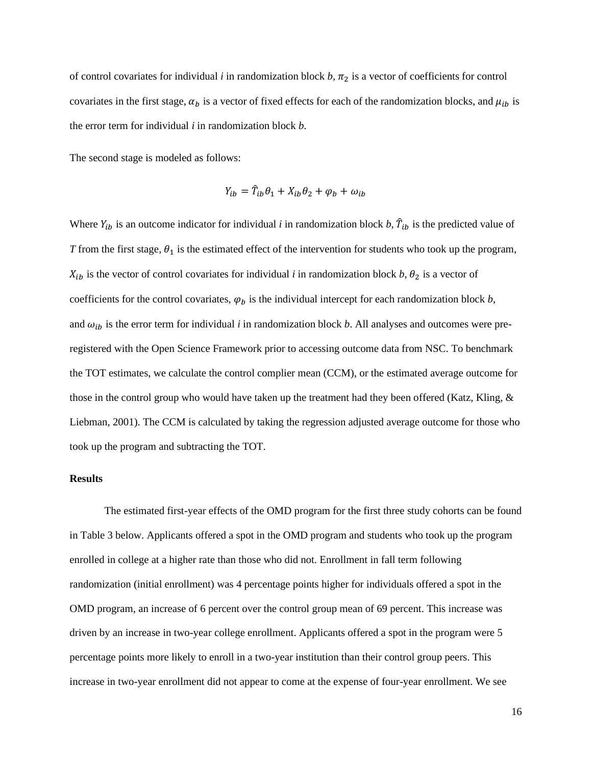of control covariates for individual *i* in randomization block  $b$ ,  $\pi_2$  is a vector of coefficients for control covariates in the first stage,  $\alpha_b$  is a vector of fixed effects for each of the randomization blocks, and  $\mu_{ib}$  is the error term for individual *i* in randomization block *b*.

The second stage is modeled as follows:

$$
Y_{ib} = \hat{T}_{ib}\theta_1 + X_{ib}\theta_2 + \varphi_b + \omega_{ib}
$$

Where  $Y_{ib}$  is an outcome indicator for individual *i* in randomization block *b*,  $\hat{T}_{ib}$  is the predicted value of *T* from the first stage,  $\theta_1$  is the estimated effect of the intervention for students who took up the program,  $X_{ib}$  is the vector of control covariates for individual *i* in randomization block *b*,  $\theta_2$  is a vector of coefficients for the control covariates,  $\varphi_b$  is the individual intercept for each randomization block *b*, and  $\omega_{ib}$  is the error term for individual *i* in randomization block *b*. All analyses and outcomes were preregistered with the Open Science Framework prior to accessing outcome data from NSC. To benchmark the TOT estimates, we calculate the control complier mean (CCM), or the estimated average outcome for those in the control group who would have taken up the treatment had they been offered (Katz, Kling, & Liebman, 2001). The CCM is calculated by taking the regression adjusted average outcome for those who took up the program and subtracting the TOT.

## **Results**

The estimated first-year effects of the OMD program for the first three study cohorts can be found in Table 3 below. Applicants offered a spot in the OMD program and students who took up the program enrolled in college at a higher rate than those who did not. Enrollment in fall term following randomization (initial enrollment) was 4 percentage points higher for individuals offered a spot in the OMD program, an increase of 6 percent over the control group mean of 69 percent. This increase was driven by an increase in two-year college enrollment. Applicants offered a spot in the program were 5 percentage points more likely to enroll in a two-year institution than their control group peers. This increase in two-year enrollment did not appear to come at the expense of four-year enrollment. We see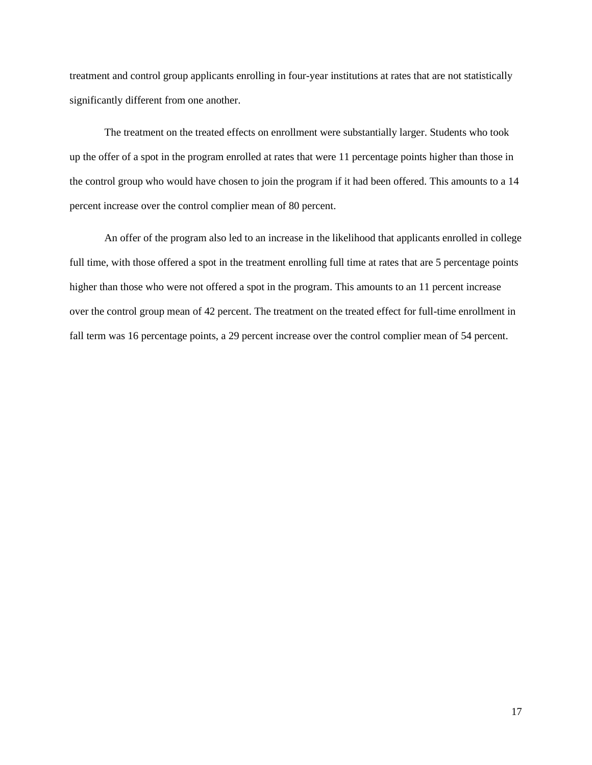treatment and control group applicants enrolling in four-year institutions at rates that are not statistically significantly different from one another.

The treatment on the treated effects on enrollment were substantially larger. Students who took up the offer of a spot in the program enrolled at rates that were 11 percentage points higher than those in the control group who would have chosen to join the program if it had been offered. This amounts to a 14 percent increase over the control complier mean of 80 percent.

An offer of the program also led to an increase in the likelihood that applicants enrolled in college full time, with those offered a spot in the treatment enrolling full time at rates that are 5 percentage points higher than those who were not offered a spot in the program. This amounts to an 11 percent increase over the control group mean of 42 percent. The treatment on the treated effect for full-time enrollment in fall term was 16 percentage points, a 29 percent increase over the control complier mean of 54 percent.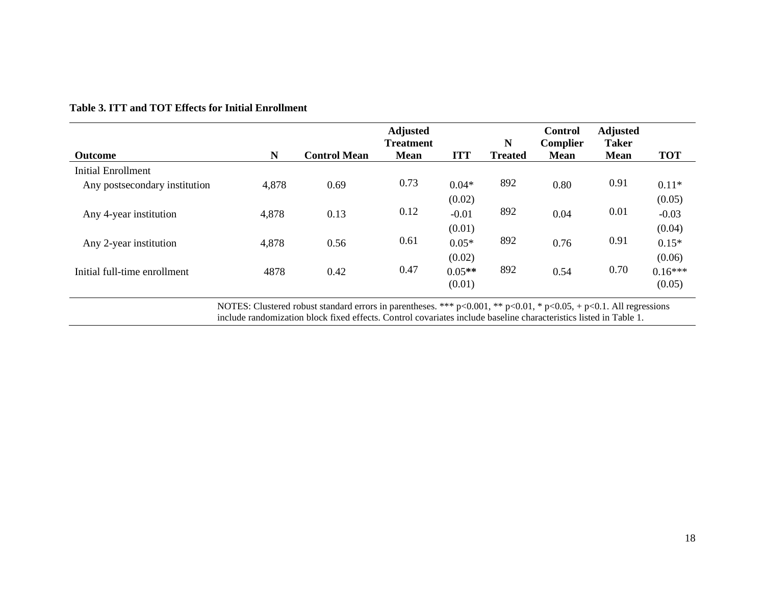| <b>Outcome</b>                | N     | <b>Control Mean</b> | <b>Adjusted</b><br><b>Treatment</b><br><b>Mean</b> | <b>ITT</b> | N<br><b>Treated</b> | <b>Control</b><br>Complier<br><b>Mean</b> | <b>Adjusted</b><br><b>Taker</b><br><b>Mean</b> | <b>TOT</b> |
|-------------------------------|-------|---------------------|----------------------------------------------------|------------|---------------------|-------------------------------------------|------------------------------------------------|------------|
| <b>Initial Enrollment</b>     |       |                     |                                                    |            |                     |                                           |                                                |            |
| Any postsecondary institution | 4,878 | 0.69                | 0.73                                               | $0.04*$    | 892                 | 0.80                                      | 0.91                                           | $0.11*$    |
|                               |       |                     |                                                    | (0.02)     |                     |                                           |                                                | (0.05)     |
| Any 4-year institution        | 4,878 | 0.13                | 0.12                                               | $-0.01$    | 892                 | 0.04                                      | 0.01                                           | $-0.03$    |
|                               |       |                     |                                                    | (0.01)     |                     |                                           |                                                | (0.04)     |
| Any 2-year institution        | 4,878 | 0.56                | 0.61                                               | $0.05*$    | 892                 | 0.76                                      | 0.91                                           | $0.15*$    |
|                               |       |                     |                                                    | (0.02)     |                     |                                           |                                                | (0.06)     |
| Initial full-time enrollment  | 4878  | 0.42                | 0.47                                               | $0.05**$   | 892                 | 0.54                                      | 0.70                                           | $0.16***$  |
|                               |       |                     |                                                    | (0.01)     |                     |                                           |                                                | (0.05)     |

# **Table 3. ITT and TOT Effects for Initial Enrollment**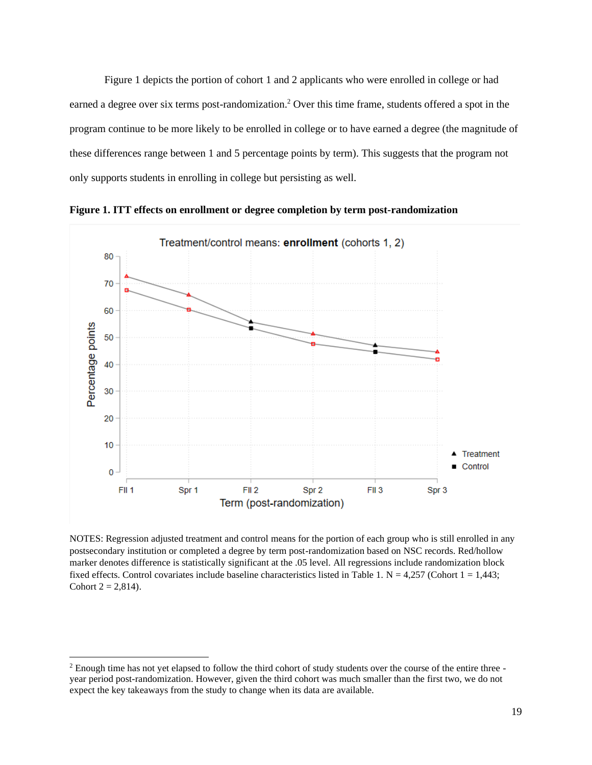Figure 1 depicts the portion of cohort 1 and 2 applicants who were enrolled in college or had earned a degree over six terms post-randomization.<sup>2</sup> Over this time frame, students offered a spot in the program continue to be more likely to be enrolled in college or to have earned a degree (the magnitude of these differences range between 1 and 5 percentage points by term). This suggests that the program not only supports students in enrolling in college but persisting as well.



**Figure 1. ITT effects on enrollment or degree completion by term post-randomization**

NOTES: Regression adjusted treatment and control means for the portion of each group who is still enrolled in any postsecondary institution or completed a degree by term post-randomization based on NSC records. Red/hollow marker denotes difference is statistically significant at the .05 level. All regressions include randomization block fixed effects. Control covariates include baseline characteristics listed in Table 1. N = 4,257 (Cohort  $1 = 1,443$ ; Cohort  $2 = 2,814$ .

<sup>2</sup> Enough time has not yet elapsed to follow the third cohort of study students over the course of the entire three year period post-randomization. However, given the third cohort was much smaller than the first two, we do not expect the key takeaways from the study to change when its data are available.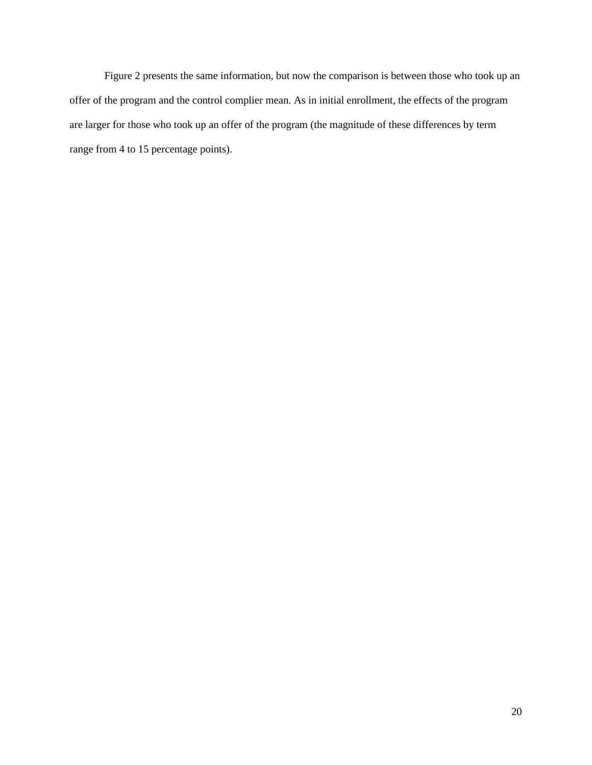Figure 2 presents the same information, but now the comparison is between those who took up an offer of the program and the control complier mean. As in initial enrollment, the effects of the program are larger for those who took up an offer of the program (the magnitude of these differences by term range from 4 to 15 percentage points).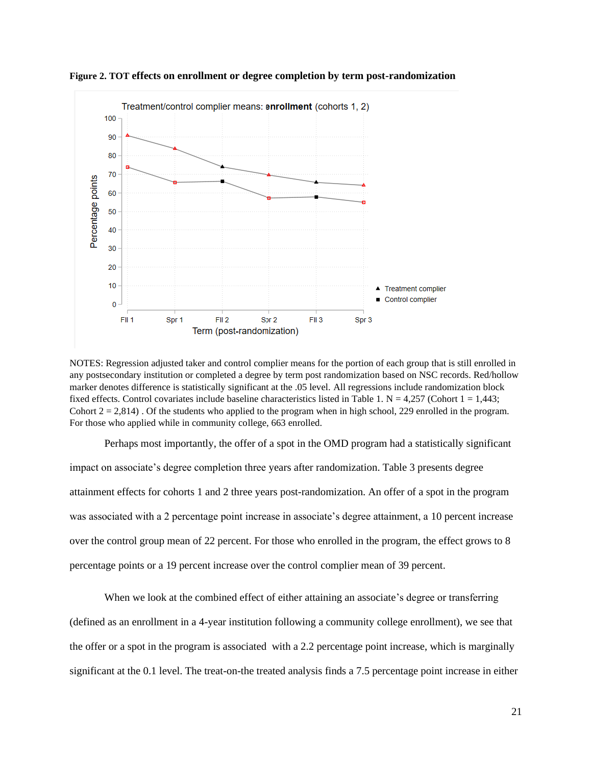

**Figure 2. TOT effects on enrollment or degree completion by term post-randomization**

NOTES: Regression adjusted taker and control complier means for the portion of each group that is still enrolled in any postsecondary institution or completed a degree by term post randomization based on NSC records. Red/hollow marker denotes difference is statistically significant at the .05 level. All regressions include randomization block fixed effects. Control covariates include baseline characteristics listed in Table 1. N = 4,257 (Cohort  $1 = 1,443$ ; Cohort  $2 = 2,814$ ). Of the students who applied to the program when in high school, 229 enrolled in the program. For those who applied while in community college, 663 enrolled.

Perhaps most importantly, the offer of a spot in the OMD program had a statistically significant impact on associate's degree completion three years after randomization. Table 3 presents degree attainment effects for cohorts 1 and 2 three years post-randomization. An offer of a spot in the program was associated with a 2 percentage point increase in associate's degree attainment, a 10 percent increase over the control group mean of 22 percent. For those who enrolled in the program, the effect grows to 8 percentage points or a 19 percent increase over the control complier mean of 39 percent.

When we look at the combined effect of either attaining an associate's degree or transferring (defined as an enrollment in a 4-year institution following a community college enrollment), we see that the offer or a spot in the program is associated with a 2.2 percentage point increase, which is marginally significant at the 0.1 level. The treat-on-the treated analysis finds a 7.5 percentage point increase in either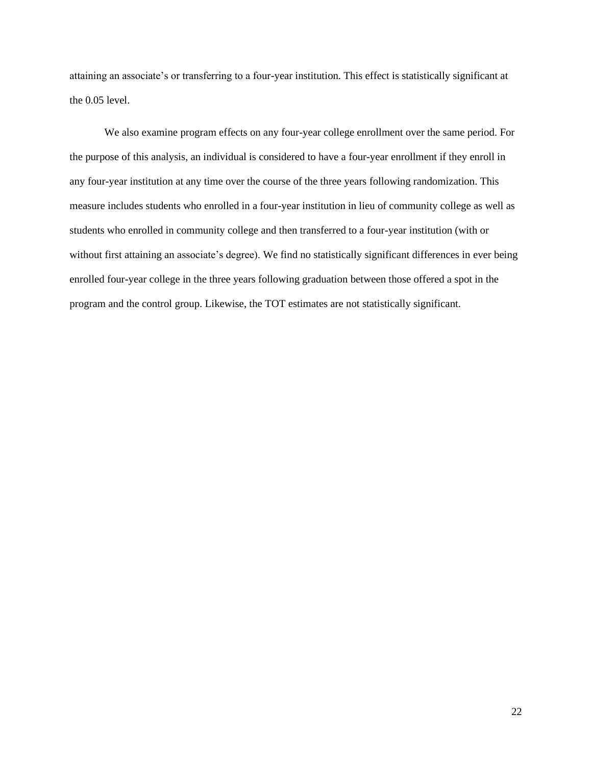attaining an associate's or transferring to a four-year institution. This effect is statistically significant at the 0.05 level.

We also examine program effects on any four-year college enrollment over the same period. For the purpose of this analysis, an individual is considered to have a four-year enrollment if they enroll in any four-year institution at any time over the course of the three years following randomization. This measure includes students who enrolled in a four-year institution in lieu of community college as well as students who enrolled in community college and then transferred to a four-year institution (with or without first attaining an associate's degree). We find no statistically significant differences in ever being enrolled four-year college in the three years following graduation between those offered a spot in the program and the control group. Likewise, the TOT estimates are not statistically significant.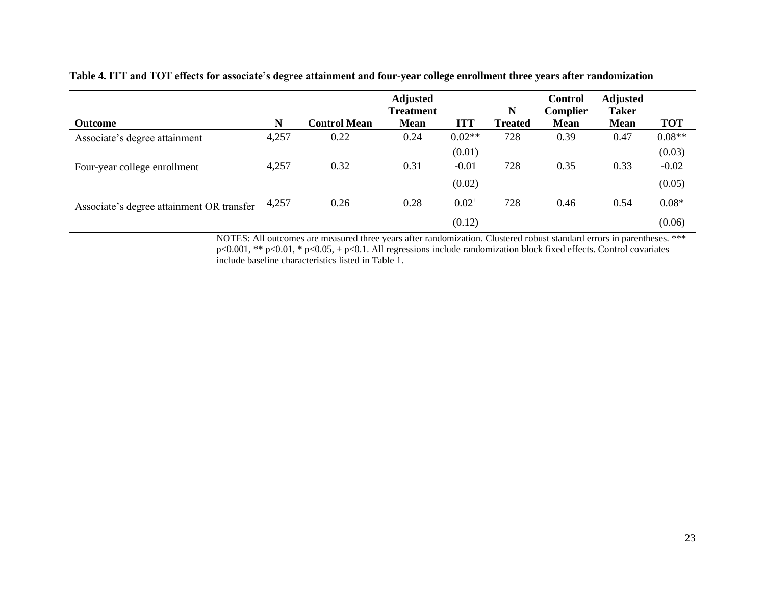|                                                                                                                                                                                                                                                            |       |                     | <b>Adjusted</b><br><b>Treatment</b> |            | N              | <b>Control</b><br>Complier | <b>Adjusted</b><br><b>Taker</b> |            |
|------------------------------------------------------------------------------------------------------------------------------------------------------------------------------------------------------------------------------------------------------------|-------|---------------------|-------------------------------------|------------|----------------|----------------------------|---------------------------------|------------|
| <b>Outcome</b>                                                                                                                                                                                                                                             | N     | <b>Control Mean</b> | <b>Mean</b>                         | <b>ITT</b> | <b>Treated</b> | <b>Mean</b>                | <b>Mean</b>                     | <b>TOT</b> |
| Associate's degree attainment                                                                                                                                                                                                                              | 4,257 | 0.22                | 0.24                                | $0.02**$   | 728            | 0.39                       | 0.47                            | $0.08**$   |
|                                                                                                                                                                                                                                                            |       |                     |                                     | (0.01)     |                |                            |                                 | (0.03)     |
| Four-year college enrollment                                                                                                                                                                                                                               | 4,257 | 0.32                | 0.31                                | $-0.01$    | 728            | 0.35                       | 0.33                            | $-0.02$    |
|                                                                                                                                                                                                                                                            |       |                     |                                     | (0.02)     |                |                            |                                 | (0.05)     |
| Associate's degree attainment OR transfer                                                                                                                                                                                                                  | 4,257 | 0.26                | 0.28                                | $0.02^{+}$ | 728            | 0.46                       | 0.54                            | $0.08*$    |
|                                                                                                                                                                                                                                                            |       |                     |                                     | (0.12)     |                |                            |                                 | (0.06)     |
| NOTES: All outcomes are measured three years after randomization. Clustered robust standard errors in parentheses. ***<br>$p<0.001$ , ** $p<0.01$ , * $p<0.05$ , + $p<0.1$ . All regressions include randomization block fixed effects. Control covariates |       |                     |                                     |            |                |                            |                                 |            |

**Table 4. ITT and TOT effects for associate's degree attainment and four-year college enrollment three years after randomization**

include baseline characteristics listed in Table 1.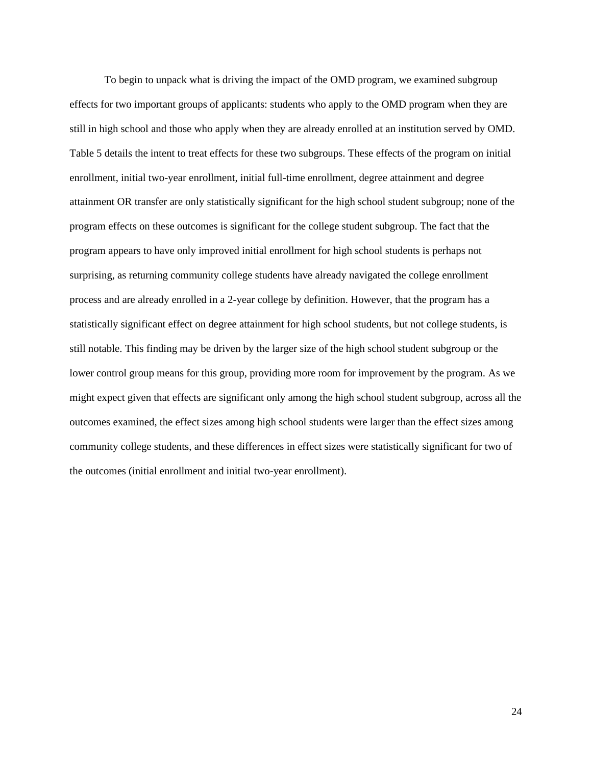To begin to unpack what is driving the impact of the OMD program, we examined subgroup effects for two important groups of applicants: students who apply to the OMD program when they are still in high school and those who apply when they are already enrolled at an institution served by OMD. Table 5 details the intent to treat effects for these two subgroups. These effects of the program on initial enrollment, initial two-year enrollment, initial full-time enrollment, degree attainment and degree attainment OR transfer are only statistically significant for the high school student subgroup; none of the program effects on these outcomes is significant for the college student subgroup. The fact that the program appears to have only improved initial enrollment for high school students is perhaps not surprising, as returning community college students have already navigated the college enrollment process and are already enrolled in a 2-year college by definition. However, that the program has a statistically significant effect on degree attainment for high school students, but not college students, is still notable. This finding may be driven by the larger size of the high school student subgroup or the lower control group means for this group, providing more room for improvement by the program. As we might expect given that effects are significant only among the high school student subgroup, across all the outcomes examined, the effect sizes among high school students were larger than the effect sizes among community college students, and these differences in effect sizes were statistically significant for two of the outcomes (initial enrollment and initial two-year enrollment).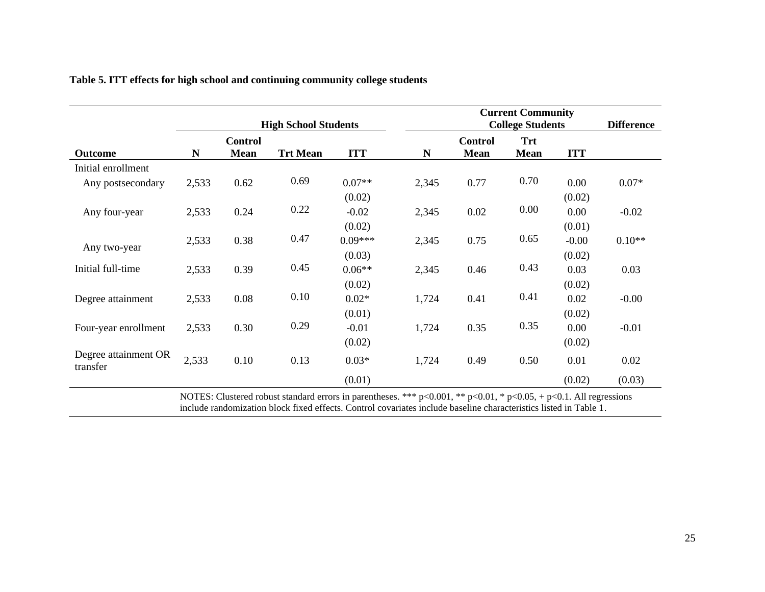|                                                                                                                                                                                                                                                     |       |                               | <b>High School Students</b> |            |       | <b>Current Community</b><br><b>College Students</b> |                           |            |          |  |
|-----------------------------------------------------------------------------------------------------------------------------------------------------------------------------------------------------------------------------------------------------|-------|-------------------------------|-----------------------------|------------|-------|-----------------------------------------------------|---------------------------|------------|----------|--|
| <b>Outcome</b>                                                                                                                                                                                                                                      | N     | <b>Control</b><br><b>Mean</b> | <b>Trt Mean</b>             | <b>ITT</b> | N     | <b>Control</b><br><b>Mean</b>                       | <b>Trt</b><br><b>Mean</b> | <b>ITT</b> |          |  |
| Initial enrollment                                                                                                                                                                                                                                  |       |                               |                             |            |       |                                                     |                           |            |          |  |
| Any postsecondary                                                                                                                                                                                                                                   | 2,533 | 0.62                          | 0.69                        | $0.07**$   | 2,345 | 0.77                                                | 0.70                      | 0.00       | $0.07*$  |  |
|                                                                                                                                                                                                                                                     |       |                               |                             | (0.02)     |       |                                                     |                           | (0.02)     |          |  |
| Any four-year                                                                                                                                                                                                                                       | 2,533 | 0.24                          | 0.22                        | $-0.02$    | 2,345 | 0.02                                                | 0.00                      | 0.00       | $-0.02$  |  |
|                                                                                                                                                                                                                                                     |       |                               |                             | (0.02)     |       |                                                     |                           | (0.01)     |          |  |
|                                                                                                                                                                                                                                                     | 2,533 | 0.38                          | 0.47                        | $0.09***$  | 2,345 | 0.75                                                | 0.65                      | $-0.00$    | $0.10**$ |  |
| Any two-year                                                                                                                                                                                                                                        |       |                               |                             | (0.03)     |       |                                                     |                           | (0.02)     |          |  |
| Initial full-time                                                                                                                                                                                                                                   | 2,533 | 0.39                          | 0.45                        | $0.06**$   | 2,345 | 0.46                                                | 0.43                      | 0.03       | 0.03     |  |
|                                                                                                                                                                                                                                                     |       |                               |                             | (0.02)     |       |                                                     |                           | (0.02)     |          |  |
| Degree attainment                                                                                                                                                                                                                                   | 2,533 | 0.08                          | 0.10                        | $0.02*$    | 1,724 | 0.41                                                | 0.41                      | 0.02       | $-0.00$  |  |
|                                                                                                                                                                                                                                                     |       |                               |                             | (0.01)     |       |                                                     |                           | (0.02)     |          |  |
| Four-year enrollment                                                                                                                                                                                                                                | 2,533 | 0.30                          | 0.29                        | $-0.01$    | 1,724 | 0.35                                                | 0.35                      | 0.00       | $-0.01$  |  |
|                                                                                                                                                                                                                                                     |       |                               |                             | (0.02)     |       |                                                     |                           | (0.02)     |          |  |
| Degree attainment OR<br>transfer                                                                                                                                                                                                                    | 2,533 | 0.10                          | 0.13                        | $0.03*$    | 1,724 | 0.49                                                | 0.50                      | 0.01       | 0.02     |  |
|                                                                                                                                                                                                                                                     |       |                               |                             | (0.01)     |       |                                                     |                           | (0.02)     | (0.03)   |  |
| NOTES: Clustered robust standard errors in parentheses. *** $p<0.001$ , ** $p<0.01$ , * $p<0.05$ , + $p<0.1$ . All regressions<br>include randomization block fixed effects. Control covariates include baseline characteristics listed in Table 1. |       |                               |                             |            |       |                                                     |                           |            |          |  |

# **Table 5. ITT effects for high school and continuing community college students**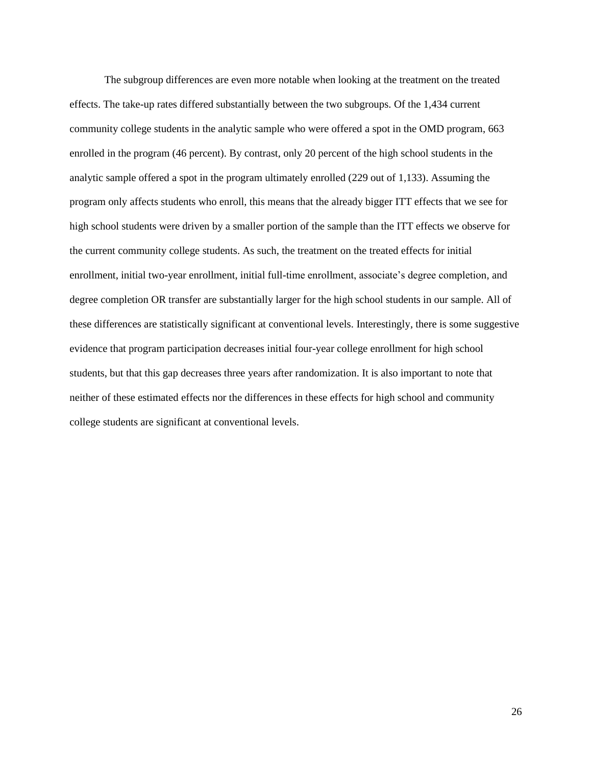The subgroup differences are even more notable when looking at the treatment on the treated effects. The take-up rates differed substantially between the two subgroups. Of the 1,434 current community college students in the analytic sample who were offered a spot in the OMD program, 663 enrolled in the program (46 percent). By contrast, only 20 percent of the high school students in the analytic sample offered a spot in the program ultimately enrolled (229 out of 1,133). Assuming the program only affects students who enroll, this means that the already bigger ITT effects that we see for high school students were driven by a smaller portion of the sample than the ITT effects we observe for the current community college students. As such, the treatment on the treated effects for initial enrollment, initial two-year enrollment, initial full-time enrollment, associate's degree completion, and degree completion OR transfer are substantially larger for the high school students in our sample. All of these differences are statistically significant at conventional levels. Interestingly, there is some suggestive evidence that program participation decreases initial four-year college enrollment for high school students, but that this gap decreases three years after randomization. It is also important to note that neither of these estimated effects nor the differences in these effects for high school and community college students are significant at conventional levels.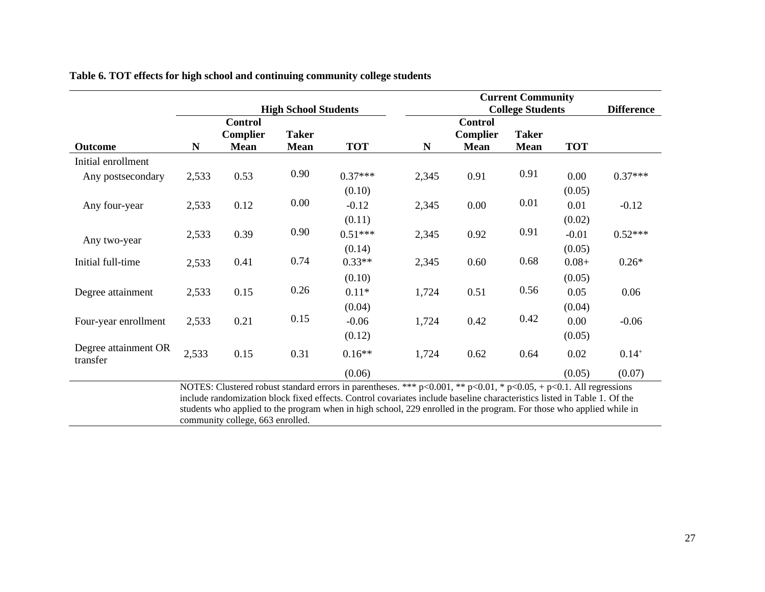|                                  |       |                                           | <b>High School Students</b> |                                                                                                                                                                                                                                                                                                                                                                        |       | <b>Difference</b>                         |                                                        |                          |            |
|----------------------------------|-------|-------------------------------------------|-----------------------------|------------------------------------------------------------------------------------------------------------------------------------------------------------------------------------------------------------------------------------------------------------------------------------------------------------------------------------------------------------------------|-------|-------------------------------------------|--------------------------------------------------------|--------------------------|------------|
| <b>Outcome</b>                   | N     | <b>Control</b><br>Complier<br><b>Mean</b> | <b>Taker</b><br><b>Mean</b> | <b>TOT</b>                                                                                                                                                                                                                                                                                                                                                             | N     | <b>Control</b><br>Complier<br><b>Mean</b> | <b>College Students</b><br><b>Taker</b><br><b>Mean</b> | <b>TOT</b>               |            |
| Initial enrollment               |       |                                           |                             |                                                                                                                                                                                                                                                                                                                                                                        |       |                                           |                                                        |                          |            |
| Any postsecondary                | 2,533 | 0.53                                      | 0.90                        | $0.37***$                                                                                                                                                                                                                                                                                                                                                              | 2,345 | 0.91                                      | 0.91                                                   | 0.00                     | $0.37***$  |
| Any four-year                    | 2,533 | 0.12                                      | 0.00                        | (0.10)<br>$-0.12$<br>(0.11)                                                                                                                                                                                                                                                                                                                                            | 2,345 | 0.00                                      | 0.01                                                   | (0.05)<br>0.01<br>(0.02) | $-0.12$    |
| Any two-year                     | 2,533 | 0.39                                      | 0.90                        | $0.51***$<br>(0.14)                                                                                                                                                                                                                                                                                                                                                    | 2,345 | 0.92                                      | 0.91                                                   | $-0.01$<br>(0.05)        | $0.52***$  |
| Initial full-time                | 2,533 | 0.41                                      | 0.74                        | $0.33**$                                                                                                                                                                                                                                                                                                                                                               | 2,345 | 0.60                                      | 0.68                                                   | $0.08 +$                 | $0.26*$    |
| Degree attainment                | 2,533 | 0.15                                      | 0.26                        | (0.10)<br>$0.11*$<br>(0.04)                                                                                                                                                                                                                                                                                                                                            | 1,724 | 0.51                                      | 0.56                                                   | (0.05)<br>0.05<br>(0.04) | 0.06       |
| Four-year enrollment             | 2,533 | 0.21                                      | 0.15                        | $-0.06$<br>(0.12)                                                                                                                                                                                                                                                                                                                                                      | 1,724 | 0.42                                      | 0.42                                                   | 0.00<br>(0.05)           | $-0.06$    |
| Degree attainment OR<br>transfer | 2,533 | 0.15                                      | 0.31                        | $0.16**$                                                                                                                                                                                                                                                                                                                                                               | 1,724 | 0.62                                      | 0.64                                                   | 0.02                     | $0.14^{+}$ |
|                                  |       |                                           |                             | (0.06)                                                                                                                                                                                                                                                                                                                                                                 |       |                                           |                                                        | (0.05)                   | (0.07)     |
|                                  |       |                                           |                             | NOTES: Clustered robust standard errors in parentheses. *** p<0.001, ** p<0.01, * p<0.05, + p<0.1. All regressions<br>include randomization block fixed effects. Control covariates include baseline characteristics listed in Table 1. Of the<br>students who applied to the program when in high school, 229 enrolled in the program. For those who applied while in |       |                                           |                                                        |                          |            |

**Table 6. TOT effects for high school and continuing community college students**

community college, 663 enrolled.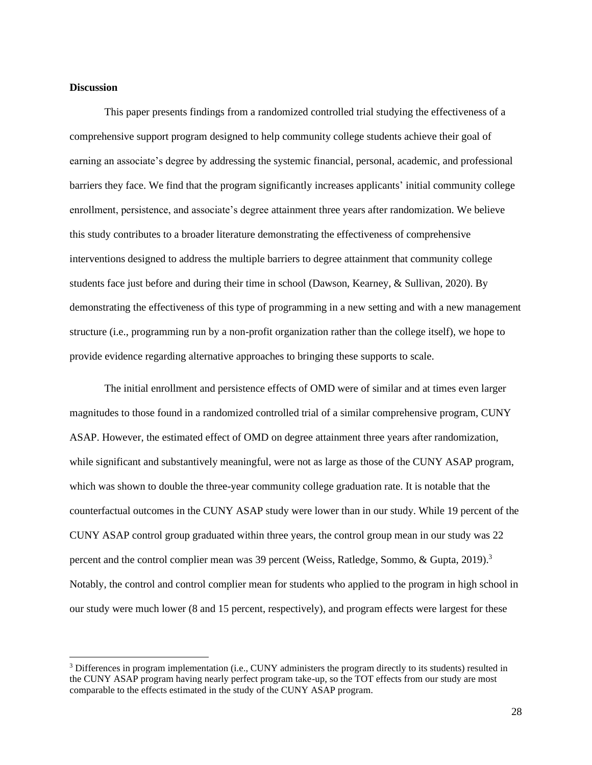### **Discussion**

This paper presents findings from a randomized controlled trial studying the effectiveness of a comprehensive support program designed to help community college students achieve their goal of earning an associate's degree by addressing the systemic financial, personal, academic, and professional barriers they face. We find that the program significantly increases applicants' initial community college enrollment, persistence, and associate's degree attainment three years after randomization. We believe this study contributes to a broader literature demonstrating the effectiveness of comprehensive interventions designed to address the multiple barriers to degree attainment that community college students face just before and during their time in school (Dawson, Kearney, & Sullivan, 2020). By demonstrating the effectiveness of this type of programming in a new setting and with a new management structure (i.e., programming run by a non-profit organization rather than the college itself), we hope to provide evidence regarding alternative approaches to bringing these supports to scale.

The initial enrollment and persistence effects of OMD were of similar and at times even larger magnitudes to those found in a randomized controlled trial of a similar comprehensive program, CUNY ASAP. However, the estimated effect of OMD on degree attainment three years after randomization, while significant and substantively meaningful, were not as large as those of the CUNY ASAP program, which was shown to double the three-year community college graduation rate. It is notable that the counterfactual outcomes in the CUNY ASAP study were lower than in our study. While 19 percent of the CUNY ASAP control group graduated within three years, the control group mean in our study was 22 percent and the control complier mean was 39 percent (Weiss, Ratledge, Sommo, & Gupta, 2019).<sup>3</sup> Notably, the control and control complier mean for students who applied to the program in high school in our study were much lower (8 and 15 percent, respectively), and program effects were largest for these

<sup>&</sup>lt;sup>3</sup> Differences in program implementation (i.e., CUNY administers the program directly to its students) resulted in the CUNY ASAP program having nearly perfect program take-up, so the TOT effects from our study are most comparable to the effects estimated in the study of the CUNY ASAP program.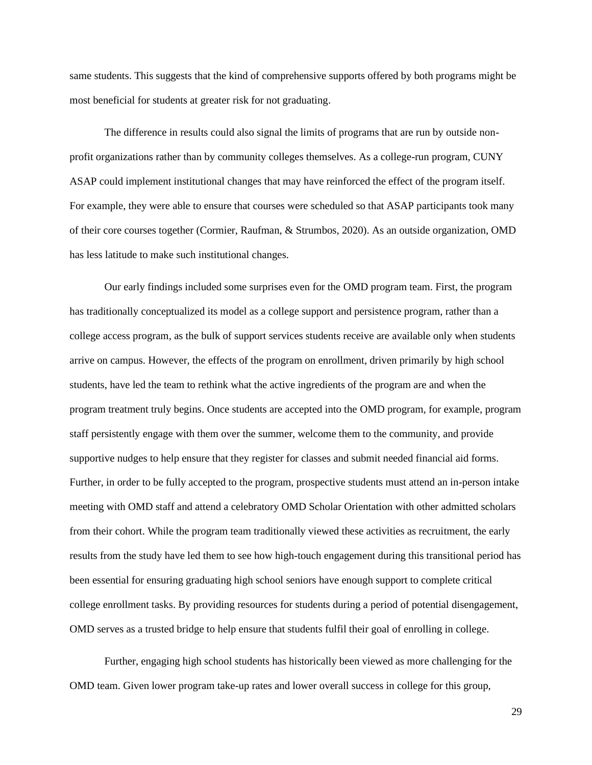same students. This suggests that the kind of comprehensive supports offered by both programs might be most beneficial for students at greater risk for not graduating.

The difference in results could also signal the limits of programs that are run by outside nonprofit organizations rather than by community colleges themselves. As a college-run program, CUNY ASAP could implement institutional changes that may have reinforced the effect of the program itself. For example, they were able to ensure that courses were scheduled so that ASAP participants took many of their core courses together (Cormier, Raufman, & Strumbos, 2020). As an outside organization, OMD has less latitude to make such institutional changes.

Our early findings included some surprises even for the OMD program team. First, the program has traditionally conceptualized its model as a college support and persistence program, rather than a college access program, as the bulk of support services students receive are available only when students arrive on campus. However, the effects of the program on enrollment, driven primarily by high school students, have led the team to rethink what the active ingredients of the program are and when the program treatment truly begins. Once students are accepted into the OMD program, for example, program staff persistently engage with them over the summer, welcome them to the community, and provide supportive nudges to help ensure that they register for classes and submit needed financial aid forms. Further, in order to be fully accepted to the program, prospective students must attend an in-person intake meeting with OMD staff and attend a celebratory OMD Scholar Orientation with other admitted scholars from their cohort. While the program team traditionally viewed these activities as recruitment, the early results from the study have led them to see how high-touch engagement during this transitional period has been essential for ensuring graduating high school seniors have enough support to complete critical college enrollment tasks. By providing resources for students during a period of potential disengagement, OMD serves as a trusted bridge to help ensure that students fulfil their goal of enrolling in college.

Further, engaging high school students has historically been viewed as more challenging for the OMD team. Given lower program take-up rates and lower overall success in college for this group,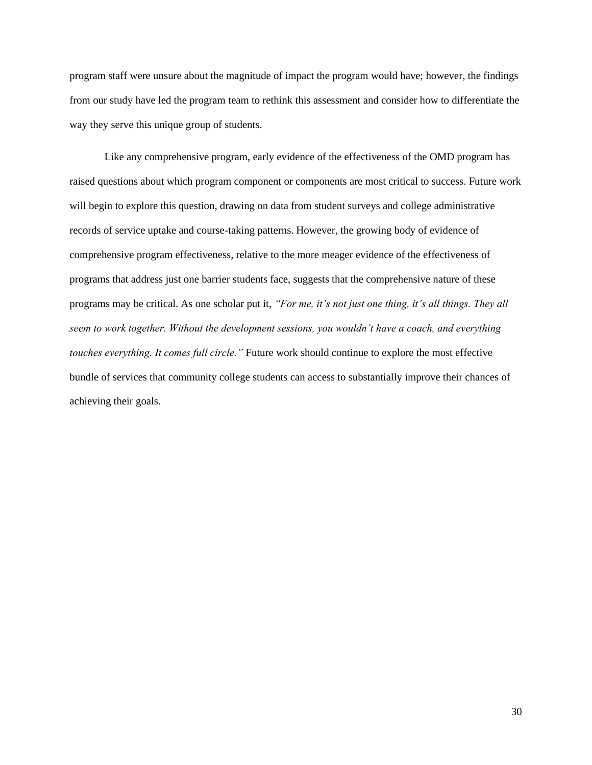program staff were unsure about the magnitude of impact the program would have; however, the findings from our study have led the program team to rethink this assessment and consider how to differentiate the way they serve this unique group of students.

Like any comprehensive program, early evidence of the effectiveness of the OMD program has raised questions about which program component or components are most critical to success. Future work will begin to explore this question, drawing on data from student surveys and college administrative records of service uptake and course-taking patterns. However, the growing body of evidence of comprehensive program effectiveness, relative to the more meager evidence of the effectiveness of programs that address just one barrier students face, suggests that the comprehensive nature of these programs may be critical. As one scholar put it, *"For me, it's not just one thing, it's all things. They all seem to work together. Without the development sessions, you wouldn't have a coach, and everything touches everything. It comes full circle."* Future work should continue to explore the most effective bundle of services that community college students can access to substantially improve their chances of achieving their goals.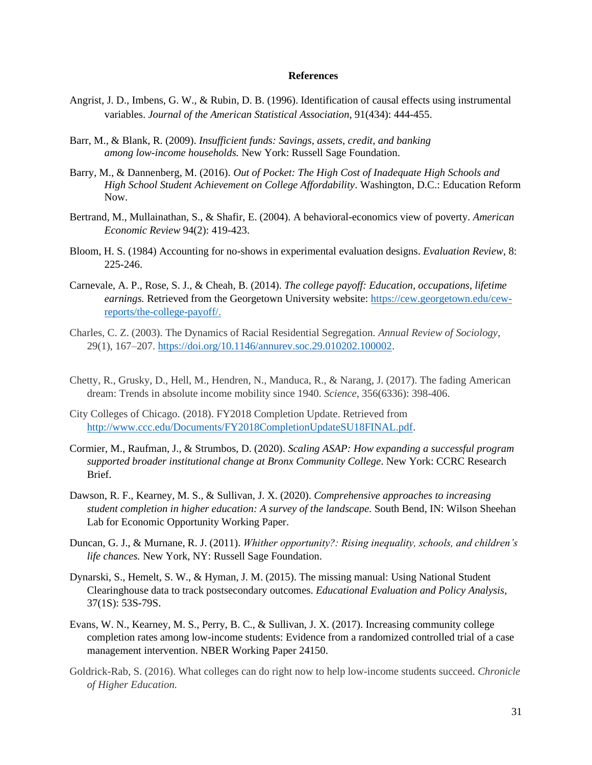#### **References**

- Angrist, J. D., Imbens, G. W., & Rubin, D. B. (1996). Identification of causal effects using instrumental variables. *Journal of the American Statistical Association,* 91(434): 444-455.
- Barr, M., & Blank, R. (2009). *Insufficient funds: Savings, assets, credit, and banking among low-income households.* New York: Russell Sage Foundation.
- Barry, M., & Dannenberg, M. (2016). *Out of Pocket: The High Cost of Inadequate High Schools and High School Student Achievement on College Affordability*. Washington, D.C.: Education Reform Now.
- Bertrand, M., Mullainathan, S., & Shafir, E. (2004). A behavioral-economics view of poverty. *American Economic Review* 94(2): 419-423.
- Bloom, H. S. (1984) Accounting for no-shows in experimental evaluation designs. *Evaluation Review*, 8: 225-246.
- Carnevale, A. P., Rose, S. J., & Cheah, B. (2014). *The college payoff: Education, occupations, lifetime earnings.* Retrieved from the Georgetown University website: [https://cew.georgetown.edu/cew](https://cew.georgetown.edu/cew-reports/the-college-payoff/)[reports/the-college-payoff/.](https://cew.georgetown.edu/cew-reports/the-college-payoff/)
- Charles, C. Z. (2003). The Dynamics of Racial Residential Segregation. *Annual Review of Sociology*, 29(1), 167–207. [https://doi.org/10.1146/annurev.soc.29.010202.100002.](https://doi.org/10.1146/annurev.soc.29.010202.100002)
- Chetty, R., Grusky, D., Hell, M., Hendren, N., Manduca, R., & Narang, J. (2017). The fading American dream: Trends in absolute income mobility since 1940. *Science*, 356(6336): 398-406.
- City Colleges of Chicago. (2018). FY2018 Completion Update. Retrieved from [http://www.ccc.edu/Documents/FY2018CompletionUpdateSU18FINAL.pdf.](http://www.ccc.edu/Documents/FY2018CompletionUpdateSU18FINAL.pdf)
- Cormier, M., Raufman, J., & Strumbos, D. (2020). *Scaling ASAP: How expanding a successful program supported broader institutional change at Bronx Community College*. New York: CCRC Research Brief.
- Dawson, R. F., Kearney, M. S., & Sullivan, J. X. (2020). *Comprehensive approaches to increasing student completion in higher education: A survey of the landscape.* South Bend, IN: Wilson Sheehan Lab for Economic Opportunity Working Paper.
- Duncan, G. J., & Murnane, R. J. (2011). *Whither opportunity?: Rising inequality, schools, and children's life chances.* New York, NY: Russell Sage Foundation.
- Dynarski, S., Hemelt, S. W., & Hyman, J. M. (2015). The missing manual: Using National Student Clearinghouse data to track postsecondary outcomes. *Educational Evaluation and Policy Analysis,*  37(1S): 53S-79S.
- Evans, W. N., Kearney, M. S., Perry, B. C., & Sullivan, J. X. (2017). Increasing community college completion rates among low-income students: Evidence from a randomized controlled trial of a case management intervention. NBER Working Paper 24150.
- Goldrick-Rab, S. (2016). What colleges can do right now to help low-income students succeed. *Chronicle of Higher Education.*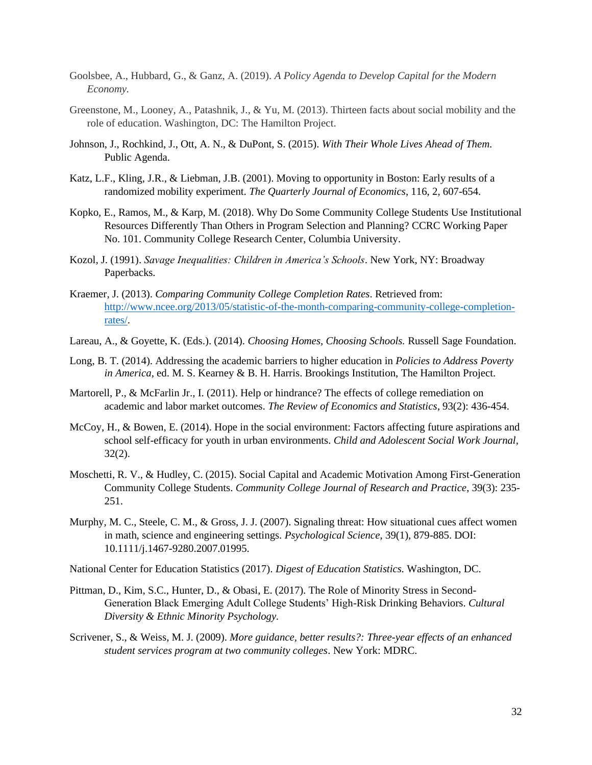- Goolsbee, A., Hubbard, G., & Ganz, A. (2019). *A Policy Agenda to Develop Capital for the Modern Economy.*
- Greenstone, M., Looney, A., Patashnik, J., & Yu, M. (2013). Thirteen facts about social mobility and the role of education. Washington, DC: The Hamilton Project.
- Johnson, J., Rochkind, J., Ott, A. N., & DuPont, S. (2015). *With Their Whole Lives Ahead of Them.*  Public Agenda.
- Katz, L.F., Kling, J.R., & Liebman, J.B. (2001). Moving to opportunity in Boston: Early results of a randomized mobility experiment. *The Quarterly Journal of Economics*, 116, 2, 607-654.
- Kopko, E., Ramos, M., & Karp, M. (2018). Why Do Some Community College Students Use Institutional Resources Differently Than Others in Program Selection and Planning? CCRC Working Paper No. 101. Community College Research Center, Columbia University.
- Kozol, J. (1991). *Savage Inequalities: Children in America's Schools*. New York, NY: Broadway Paperbacks.
- Kraemer, J. (2013). *Comparing Community College Completion Rates*. Retrieved from: [http://www.ncee.org/2013/05/statistic-of-the-month-comparing-community-college-completion](http://www.ncee.org/2013/05/statistic-of-the-month-comparing-community-college-completion-rates/)[rates/.](http://www.ncee.org/2013/05/statistic-of-the-month-comparing-community-college-completion-rates/)
- Lareau, A., & Goyette, K. (Eds.). (2014). *Choosing Homes, Choosing Schools.* Russell Sage Foundation.
- Long, B. T. (2014). Addressing the academic barriers to higher education in *Policies to Address Poverty in America*, ed. M. S. Kearney & B. H. Harris. Brookings Institution, The Hamilton Project.
- Martorell, P., & McFarlin Jr., I. (2011). Help or hindrance? The effects of college remediation on academic and labor market outcomes. *The Review of Economics and Statistics*, 93(2): 436-454.
- McCoy, H., & Bowen, E. (2014). Hope in the social environment: Factors affecting future aspirations and school self-efficacy for youth in urban environments. *Child and Adolescent Social Work Journal,*   $32(2)$ .
- Moschetti, R. V., & Hudley, C. (2015). Social Capital and Academic Motivation Among First-Generation Community College Students. *Community College Journal of Research and Practice*, 39(3): 235- 251.
- Murphy, M. C., Steele, C. M., & Gross, J. J. (2007). Signaling threat: How situational cues affect women in math, science and engineering settings. *Psychological Science*, 39(1), 879-885. DOI: 10.1111/j.1467-9280.2007.01995.

National Center for Education Statistics (2017). *Digest of Education Statistics.* Washington, DC.

- Pittman, D., Kim, S.C., Hunter, D., & Obasi, E. (2017). The Role of Minority Stress in Second-Generation Black Emerging Adult College Students' High-Risk Drinking Behaviors. *Cultural Diversity & Ethnic Minority Psychology.*
- Scrivener, S., & Weiss, M. J. (2009). *More guidance, better results?: Three-year effects of an enhanced student services program at two community colleges*. New York: MDRC.